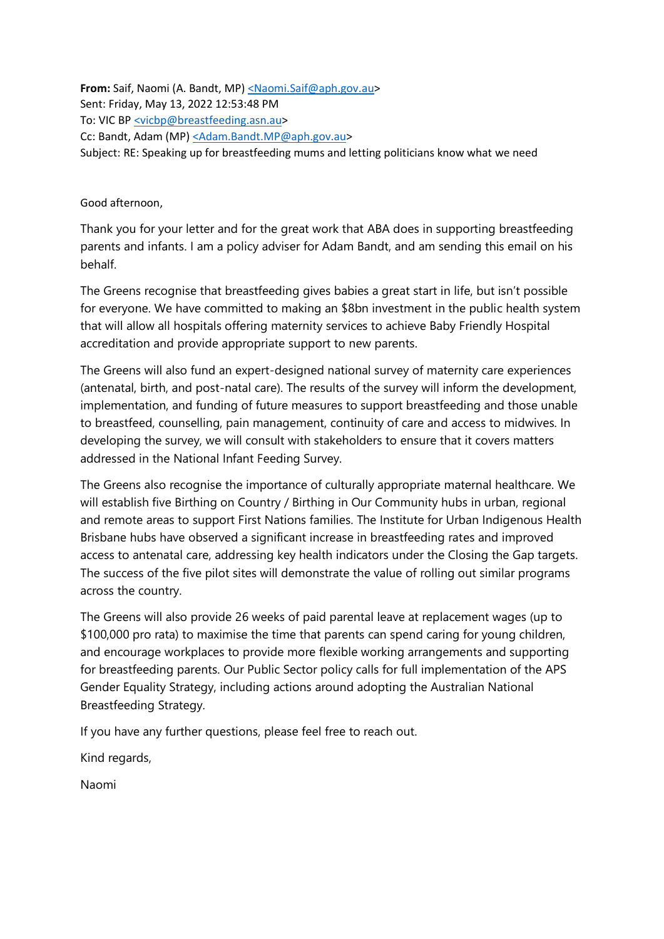**From:** Saif, Naomi (A. Bandt, MP) [<Naomi.Saif@aph.gov.au>](mailto:%3CNaomi.Saif@aph.gov.au) Sent: Friday, May 13, 2022 12:53:48 PM To: VIC BP [<vicbp@breastfeeding.asn.au>](mailto:%3Cvicbp@breastfeeding.asn.au) Cc: Bandt, Adam (MP[\) <Adam.Bandt.MP@aph.gov.au>](mailto:%3CAdam.Bandt.MP@aph.gov.au) Subject: RE: Speaking up for breastfeeding mums and letting politicians know what we need

Good afternoon,

Thank you for your letter and for the great work that ABA does in supporting breastfeeding parents and infants. I am a policy adviser for Adam Bandt, and am sending this email on his behalf.

The Greens recognise that breastfeeding gives babies a great start in life, but isn't possible for everyone. We have committed to making an \$8bn investment in the public health system that will allow all hospitals offering maternity services to achieve Baby Friendly Hospital accreditation and provide appropriate support to new parents.

The Greens will also fund an expert-designed national survey of maternity care experiences (antenatal, birth, and post-natal care). The results of the survey will inform the development, implementation, and funding of future measures to support breastfeeding and those unable to breastfeed, counselling, pain management, continuity of care and access to midwives. In developing the survey, we will consult with stakeholders to ensure that it covers matters addressed in the National Infant Feeding Survey.

The Greens also recognise the importance of culturally appropriate maternal healthcare. We will establish five Birthing on Country / Birthing in Our Community hubs in urban, regional and remote areas to support First Nations families. The Institute for Urban Indigenous Health Brisbane hubs have observed a significant increase in breastfeeding rates and improved access to antenatal care, addressing key health indicators under the Closing the Gap targets. The success of the five pilot sites will demonstrate the value of rolling out similar programs across the country.

The Greens will also provide 26 weeks of paid parental leave at replacement wages (up to \$100,000 pro rata) to maximise the time that parents can spend caring for young children, and encourage workplaces to provide more flexible working arrangements and supporting for breastfeeding parents. Our Public Sector policy calls for full implementation of the APS Gender Equality Strategy, including actions around adopting the Australian National Breastfeeding Strategy.

If you have any further questions, please feel free to reach out.

Kind regards,

Naomi